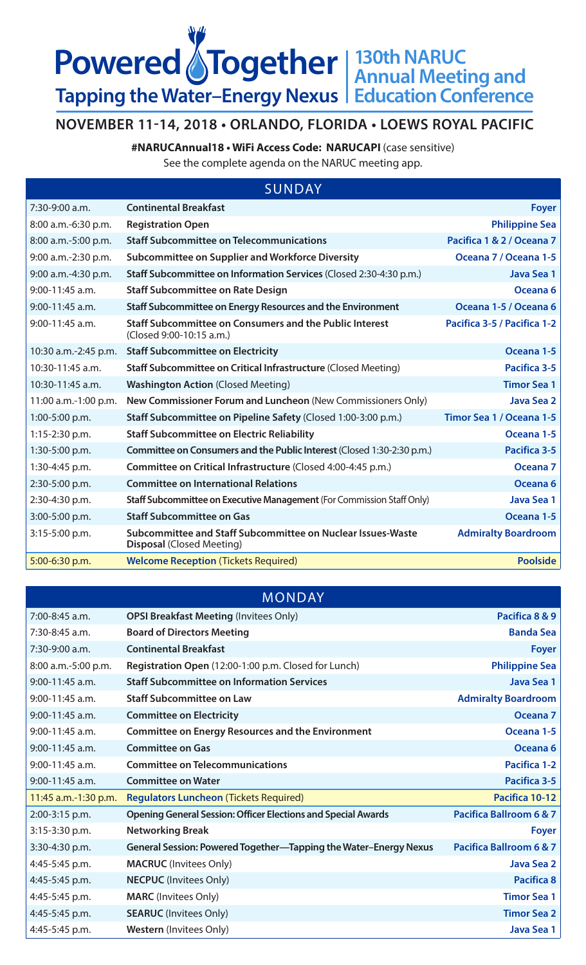## **130th NARUC Annual Meeting and Education Conference Powered STogether Tapping the Water–Energy Nexus**

## **NOVEMBER 11-14, 2018 • ORLANDO, FLORIDA • LOEWS ROYAL PACIFIC**

**#NARUCAnnual18 • WiFi Access Code: NARUCAPI** (case sensitive)

See the complete agenda on the NARUC meeting app.

| <b>SUNDAY</b> |  |
|---------------|--|
|               |  |

| <b>Continental Breakfast</b>                                                                    | <b>Foyer</b>                |
|-------------------------------------------------------------------------------------------------|-----------------------------|
| <b>Registration Open</b>                                                                        | <b>Philippine Sea</b>       |
| <b>Staff Subcommittee on Telecommunications</b>                                                 | Pacifica 1 & 2 / Oceana 7   |
| Subcommittee on Supplier and Workforce Diversity                                                | Oceana 7 / Oceana 1-5       |
| Staff Subcommittee on Information Services (Closed 2:30-4:30 p.m.)                              | Java Sea 1                  |
| <b>Staff Subcommittee on Rate Design</b>                                                        | Oceana <sub>6</sub>         |
| Staff Subcommittee on Energy Resources and the Environment                                      | Oceana 1-5 / Oceana 6       |
| <b>Staff Subcommittee on Consumers and the Public Interest</b><br>(Closed 9:00-10:15 a.m.)      | Pacifica 3-5 / Pacifica 1-2 |
| <b>Staff Subcommittee on Electricity</b>                                                        | Oceana 1-5                  |
| Staff Subcommittee on Critical Infrastructure (Closed Meeting)                                  | <b>Pacifica 3-5</b>         |
| <b>Washington Action (Closed Meeting)</b>                                                       | <b>Timor Sea 1</b>          |
| New Commissioner Forum and Luncheon (New Commissioners Only)                                    | Java Sea 2                  |
| Staff Subcommittee on Pipeline Safety (Closed 1:00-3:00 p.m.)                                   | Timor Sea 1 / Oceana 1-5    |
| <b>Staff Subcommittee on Electric Reliability</b>                                               | Oceana 1-5                  |
| Committee on Consumers and the Public Interest (Closed 1:30-2:30 p.m.)                          | Pacifica 3-5                |
| Committee on Critical Infrastructure (Closed 4:00-4:45 p.m.)                                    | Oceana <sub>7</sub>         |
| <b>Committee on International Relations</b>                                                     | Oceana <sub>6</sub>         |
| Staff Subcommittee on Executive Management (For Commission Staff Only)                          | Java Sea 1                  |
| <b>Staff Subcommittee on Gas</b>                                                                | Oceana 1-5                  |
| Subcommittee and Staff Subcommittee on Nuclear Issues-Waste<br><b>Disposal (Closed Meeting)</b> | <b>Admiralty Boardroom</b>  |
| <b>Welcome Reception (Tickets Required)</b>                                                     | <b>Poolside</b>             |
|                                                                                                 |                             |

## MONDAY

| $7:00 - 8:45$ a.m.   | <b>OPSI Breakfast Meeting (Invitees Only)</b>                        | Pacifica 8 & 9                     |
|----------------------|----------------------------------------------------------------------|------------------------------------|
| 7:30-8:45 a.m.       | <b>Board of Directors Meeting</b>                                    | <b>Banda Sea</b>                   |
| 7:30-9:00 a.m.       | <b>Continental Breakfast</b>                                         | <b>Foyer</b>                       |
| 8:00 a.m.-5:00 p.m.  | Registration Open (12:00-1:00 p.m. Closed for Lunch)                 | <b>Philippine Sea</b>              |
| 9:00-11:45 a.m.      | <b>Staff Subcommittee on Information Services</b>                    | Java Sea 1                         |
| 9:00-11:45 a.m.      | <b>Staff Subcommittee on Law</b>                                     | <b>Admiralty Boardroom</b>         |
| 9:00-11:45 a.m.      | <b>Committee on Electricity</b>                                      | Oceana <sub>7</sub>                |
| 9:00-11:45 a.m.      | <b>Committee on Energy Resources and the Environment</b>             | Oceana 1-5                         |
| $9:00-11:45$ a.m.    | <b>Committee on Gas</b>                                              | Oceana <sub>6</sub>                |
| 9:00-11:45 a.m.      | <b>Committee on Telecommunications</b>                               | <b>Pacifica 1-2</b>                |
| 9:00-11:45 a.m.      | <b>Committee on Water</b>                                            | Pacifica 3-5                       |
| 11:45 a.m.-1:30 p.m. | <b>Regulators Luncheon (Tickets Required)</b>                        | Pacifica 10-12                     |
| 2:00-3:15 p.m.       | <b>Opening General Session: Officer Elections and Special Awards</b> | <b>Pacifica Ballroom 6 &amp; 7</b> |
| $3:15-3:30$ p.m.     | <b>Networking Break</b>                                              | <b>Foyer</b>                       |
| 3:30-4:30 p.m.       | General Session: Powered Together—Tapping the Water-Energy Nexus     | <b>Pacifica Ballroom 6 &amp; 7</b> |
| 4:45-5:45 p.m.       | <b>MACRUC</b> (Invitees Only)                                        | Java Sea 2                         |
| 4:45-5:45 p.m.       | <b>NECPUC</b> (Invitees Only)                                        | Pacifica 8                         |
| 4:45-5:45 p.m.       | <b>MARC</b> (Invitees Only)                                          | <b>Timor Sea 1</b>                 |
| 4:45-5:45 p.m.       | <b>SEARUC</b> (Invitees Only)                                        | <b>Timor Sea 2</b>                 |
| 4:45-5:45 p.m.       | <b>Western</b> (Invitees Only)                                       | Java Sea 1                         |